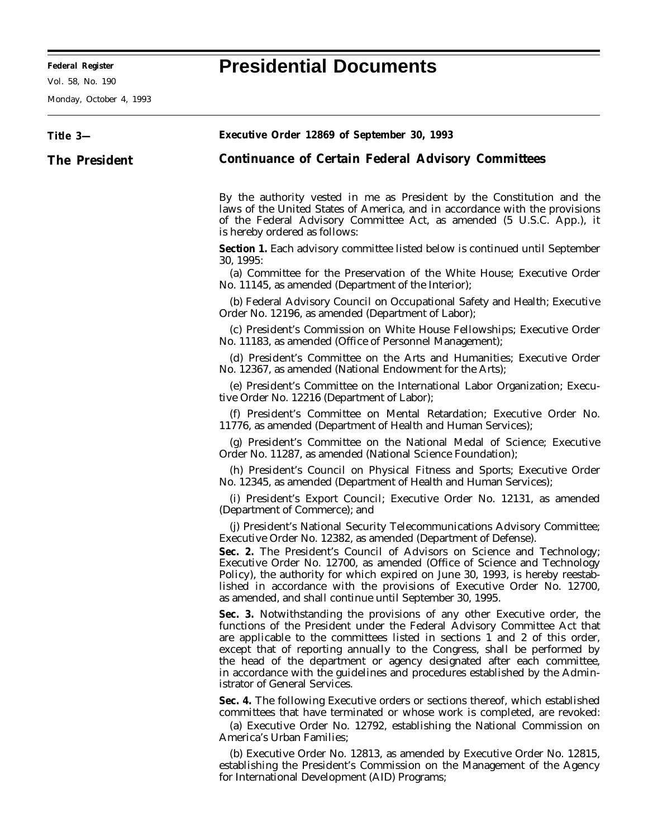**Federal Register Presidential Documents**

Monday, October 4, 1993

## **Title 3— The President Executive Order 12869 of September 30, 1993 Continuance of Certain Federal Advisory Committees** By the authority vested in me as President by the Constitution and the laws of the United States of America, and in accordance with the provisions of the Federal Advisory Committee Act, as amended (5 U.S.C. App.), it is hereby ordered as follows: **Section 1.** Each advisory committee listed below is continued until September 30, 1995: (a) Committee for the Preservation of the White House; Executive Order No. 11145, as amended (Department of the Interior); (b) Federal Advisory Council on Occupational Safety and Health; Executive Order No. 12196, as amended (Department of Labor); (c) President's Commission on White House Fellowships; Executive Order No. 11183, as amended (Office of Personnel Management); (d) President's Committee on the Arts and Humanities; Executive Order No. 12367, as amended (National Endowment for the Arts); (e) President's Committee on the International Labor Organization; Executive Order No. 12216 (Department of Labor); (f) President's Committee on Mental Retardation; Executive Order No. 11776, as amended (Department of Health and Human Services); (g) President's Committee on the National Medal of Science; Executive Order No. 11287, as amended (National Science Foundation); (h) President's Council on Physical Fitness and Sports; Executive Order No. 12345, as amended (Department of Health and Human Services); (i) President's Export Council; Executive Order No. 12131, as amended (Department of Commerce); and (j) President's National Security Telecommunications Advisory Committee; Executive Order No. 12382, as amended (Department of Defense). **Sec. 2.** The President's Council of Advisors on Science and Technology; Executive Order No. 12700, as amended (Office of Science and Technology Policy), the authority for which expired on June 30, 1993, is hereby reestablished in accordance with the provisions of Executive Order No. 12700, as amended, and shall continue until September 30, 1995. **Sec. 3.** Notwithstanding the provisions of any other Executive order, the functions of the President under the Federal Advisory Committee Act that are applicable to the committees listed in sections 1 and 2 of this order, except that of reporting annually to the Congress, shall be performed by the head of the department or agency designated after each committee, in accordance with the guidelines and procedures established by the Administrator of General Services. **Sec. 4.** The following Executive orders or sections thereof, which established committees that have terminated or whose work is completed, are revoked: (a) Executive Order No. 12792, establishing the National Commission on America's Urban Families; (b) Executive Order No. 12813, as amended by Executive Order No. 12815, establishing the President's Commission on the Management of the Agency for International Development (AID) Programs;